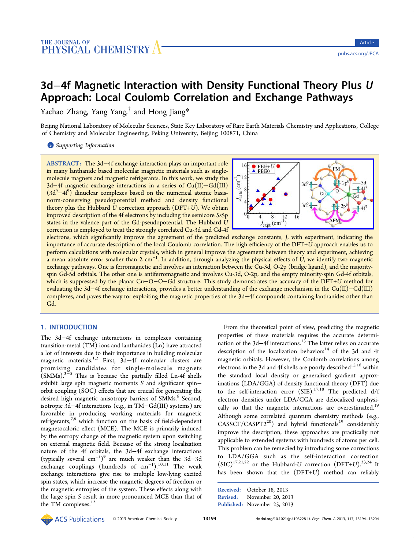# 3d−4f Magnetic Interaction with Density Functional Theory Plus U Approach: Local Coulomb Correlation and Exchange Pathways

Yachao Zhang, Yang Yang,<sup>†</sup> and Hong Jiang\*

Beijing National Laboratory of M[ole](#page-7-0)cular Sciences, State [Ke](#page-7-0)y Laboratory of Rare Earth Materials Chemistry and Applications, College of Chemistry and Molecular Engineering, Peking University, Beijing 100871, China

**S** Supporting Information

[ABSTRACT:](#page-7-0) The 3d−4f exchange interaction plays an important role in many lanthanide based molecular magnetic materials such as singlemolecule magnets and magnetic refrigerants. In this work, we study the 3d−4f magnetic exchange interactions in a series of Cu(II)−Gd(III)  $(3d^9-4f^7)$  dinuclear complexes based on the numerical atomic basisnorm-conserving pseudopotential method and density functional theory plus the Hubbard  $U$  correction approach ( $DFT+U$ ). We obtain improved description of the 4f electrons by including the semicore 5s5p states in the valence part of the Gd-pseudopotential. The Hubbard U correction is employed to treat the strongly correlated Cu-3d and Gd-4f



electrons, which significantly improve the agreement of the predicted exchange constants, J[, with experiment, indicating the](http://pubs.acs.org/action/showImage?doi=10.1021/jp4103228&iName=master.img-000.jpg&w=205&h=100) importance of accurate description of the local Coulomb correlation. The high efficiency of the DFT+U approach enables us to perform calculations with molecular crystals, which in general improve the agreement between theory and experiment, achieving a mean absolute error smaller than 2  $cm^{-1}$ . In addition, through analyzing the physical effects of  $U$ , we identify two magnetic exchange pathways. One is ferromagnetic and involves an interaction between the Cu-3d, O-2p (bridge ligand), and the majorityspin Gd-5d orbitals. The other one is antiferromagnetic and involves Cu-3d, O-2p, and the empty minority-spin Gd-4f orbitals, which is suppressed by the planar Cu–O–O–Gd structure. This study demonstrates the accuracy of the DFT+U method for evaluating the 3d−4f exchange interactions, provides a better understanding of the exchange mechanism in the Cu(II)−Gd(III) complexes, and paves the way for exploiting the magnetic properties of the 3d−4f compounds containing lanthanides other than Gd.

# 1. INTRODUCTION

The 3d−4f exchange interactions in complexes containing transition-metal (TM) ions and lanthanides (Ln) have attracted a lot of interests due to their importance in building molecular magnetic materials.1,2 First, 3d−4f molecular clusters are promising candidates for single-molecule magnets (SMMs).3−<sup>5</sup> This i[s b](#page-8-0)ecause the partially filled Ln-4f shells exhibit large spin magnetic moments S and significant spin− orbit co[up](#page-8-0)l[in](#page-8-0)g (SOC) effects that are crucial for generating the desired high magnetic anisotropy barriers of SMMs.<sup>6</sup> Second, isotropic 3d−4f interactions (e.g., in TM−Gd(III) systems) are favorable in producing working materials for [m](#page-8-0)agnetic refrigerants,<sup>7,8</sup> which function on the basis of field-dependent magnetocaloric effect (MCE). The MCE is primarily induced by the entr[opy](#page-8-0) change of the magnetic system upon switching on external magnetic field. Because of the strong localization nature of the 4f orbitals, the 3d−4f exchange interactions (typically several cm<sup>−</sup><sup>1</sup> ) <sup>9</sup> are much weaker than the 3d−3d exchange couplings (hundreds of cm<sup>-1</sup>).<sup>10,11</sup> The weak exchange interactions g[iv](#page-8-0)e rise to multiple low-lying excited spin states, which increase the magnetic degr[ees o](#page-8-0)f freedom or the magnetic entropies of the system. These effects along with the large spin S result in more pronounced MCE than that of the TM complexes.<sup>12</sup>

From the theoretical point of view, predicting the magnetic properties of these materials requires the accurate determination of the 3d–4f interactions.<sup>13</sup> The latter relies on accurate description of the localization behaviors $14$  of the 3d and 4f magnetic orbitals. However, the [C](#page-8-0)oulomb correlations among electrons in the 3d and 4f shells are poorl[y d](#page-8-0)escribed<sup>15,16</sup> within the standard local density or generalized gradient approximations (LDA/GGA) of density functional theory [\(DFT](#page-8-0)) due to the self-interaction error (SIE).<sup>17,18</sup> The predicted  $d/f$ electron densities under LDA/GGA are delocalized unphysically so that the magnetic interact[ions](#page-8-0) are overestimated.<sup>19</sup> Although some correlated quantum chemistry methods (e.g.,  $CASSCF/CASPT2^{20}$ ) and hybrid functionals<sup>19</sup> considera[bly](#page-8-0) improve the description, these approaches are practically not applicable to exten[ded](#page-8-0) systems with hundreds o[f a](#page-8-0)toms per cell. This problem can be remedied by introducing some corrections to LDA/GGA such as the self-interaction correction  $(SIC)^{17,21,22}$  or the Hubbard-U correction  $(DFT+U).^{23,24}$  It has been shown that the (DFT+U) method can reliably

```
Received: October 18, 2013
Revised: November 20, 2013
Published: November 25, 2013
```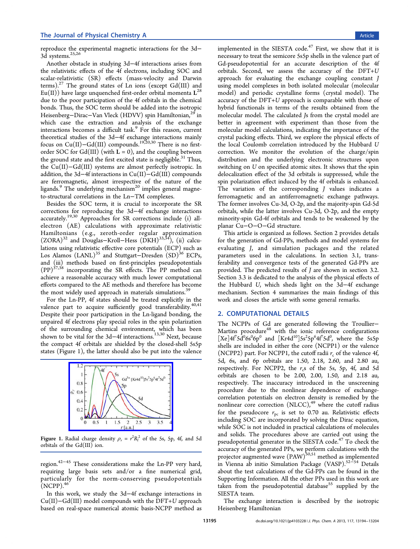reproduce the experimental magnetic interactions for the 3d− 3d systems.<sup>25,26</sup>

Another obstacle in studying 3d−4f interactions arises from the relativi[stic e](#page-8-0)ffects of the 4f electrons, including SOC and scalar-relativistic (SR) effects (mass-velocity and Darwin terms).<sup>27</sup> The ground states of Ln ions (except  $Gd(III)$  and  $Eu(II)$ ) have large unquenched first-order orbital momenta  $L^{28}$ due to [th](#page-8-0)e poor participation of the 4f orbitals in the chemical bonds. Thus, the SOC term should be added into the isotro[pic](#page-8-0) Heisenberg–Dirac–Van Vleck (HDVV) spin Hamiltonian,<sup>29</sup> in which case the extraction and analysis of the exchange interactions becomes a difficult task.<sup>9</sup> For this reason, cu[rre](#page-8-0)nt theoretical studies of the 3d−4f exchange interactions mainly focus on Cu(II)-Gd(III) compoun[ds](#page-8-0).<sup>19,20,30</sup> There is no firstorder SOC for Gd(III) (with  $L = 0$ ), and the coupling between the ground state and the first excited s[tate is n](#page-8-0)egligible.<sup>31</sup> Thus, the Cu(II)−Gd(III) systems are almost perfectly isotropic. In addition, the 3d−4f interactions in Cu(II)−Gd(III) co[mp](#page-8-0)ounds are ferromagnetic, almost irrespective of the nature of the ligands.<sup>9</sup> The underlying mechanism<sup>20</sup> implies general magneto-structural correlations in the Ln−TM complexes.

Besi[de](#page-8-0)s the SOC term, it is cruc[ial](#page-8-0) to incorporate the SR corrections for reproducing the 3d−4f exchange interactions accurately.19,30 Approaches for SR corrections include (i) allelectron (AE) calculations with approximate relativistic Hamilton[ians](#page-8-0) (e.g., zeroth-order regular approximation (ZORA)<sup>32</sup> and Douglas−Kroll−Hess (DKH)33,34), (ii) calculations using relativistic effective core potentials (ECP) such as Los Ala[mo](#page-8-0)s (LANL)<sup>35</sup> and Stuttgart–Dresd[en \(S](#page-8-0)D)<sup>36</sup> ECPs, and (iii) methods based on first-principles pseudopotentials (PP)37,38 incorporati[ng](#page-8-0) the SR effects. The PP me[tho](#page-8-0)d can achieve a reasonable accuracy with much lower computational effor[ts](#page-8-0) [co](#page-8-0)mpared to the AE methods and therefore has become the most widely used approach in materials simulations.<sup>39</sup>

For the Ln-PP, 4f states should be treated explicitly in the valence part to acquire sufficiently good transferabili[ty.](#page-8-0) $40,41$ Despite their poor participation in the Ln-ligand bonding, the unpaired 4f electrons play special roles in the spin polariz[ation](#page-8-0) of the surrounding chemical environment, which has been shown to be vital for the 3d–4f interactions.<sup>13,30</sup> Next, because the compact 4f orbitals are shielded by the closed-shell 5s5p states (Figure 1), the latter should also be p[ut in](#page-8-0)to the valence



Figure 1. R[adial charge density](http://pubs.acs.org/action/showImage?doi=10.1021/jp4103228&iName=master.img-001.jpg&w=150&h=97)  $\rho_r = r^2 R_l^2$  of the 5s, 5p, 4f, and 5d orbitals of the Gd(III) ion.

region.42−<sup>45</sup> These considerations make the Ln-PP very hard, requiring large basis sets and/or a fine numerical grid, partic[ula](#page-8-0)[rly](#page-9-0) for the norm-conserving pseudopotentials  $(NEPP).$ <sup>46</sup>

In this work, we study the 3d−4f exchange interactions in Cu(II)−[Gd](#page-9-0)(III) model compounds with the DFT+U approach based on real-space numerical atomic basis-NCPP method as

implemented in the SIESTA code. $47$  First, we show that it is necessary to treat the semicore 5s5p shells in the valence part of Gd-pseudopotential for an accur[ate](#page-9-0) description of the 4f orbitals. Second, we assess the accuracy of the DFT+U approach for evaluating the exchange coupling constant J using model complexes in both isolated molecular (molecular model) and periodic crystalline forms (crystal model). The accuracy of the DFT+U approach is comparable with those of hybrid functionals in terms of the results obtained from the molecular model. The calculated Js from the crystal model are better in agreement with experiment than those from the molecular model calculations, indicating the importance of the crystal packing effects. Third, we explore the physical effects of the local Coulomb correlation introduced by the Hubbard U correction. We monitor the evolution of the charge/spin distribution and the underlying electronic structures upon switching on U on specified atomic sites. It shows that the spin delocalization effect of the 3d orbitals is suppressed, while the spin polarization effect induced by the 4f orbitals is enhanced. The variation of the corresponding *J* values indicates a ferromagnetic and an antiferromagnetic exchange pathways. The former involves Cu-3d, O-2p, and the majority-spin Gd-5d orbitals, while the latter involves Cu-3d, O-2p, and the empty minority-spin Gd-4f orbitals and tends to be weakened by the planar Cu−O−O−Gd structure.

This article is organized as follows. Section 2 provides details for the generation of Gd-PPs, methods and model systems for evaluating J, and simulation packages and the related parameters used in the calculations. In section 3.1, transferability and convergence tests of the generated Gd-PPs are provided. The predicted results of J are sh[own in sect](#page-2-0)ion 3.2. Section 3.3 is dedicated to the analysis of the physical effects of the Hubbard U, which sheds light on the 3d−[4f exchange](#page-4-0) [mechanism](#page-5-0). Section 4 summarizes the main findings of this work and closes the article with some general remarks.

# 2. COMPU[TATIONA](#page-7-0)L DETAILS

The NCPPs of Gd are generated following the Troullier-Martins procedure<sup>48</sup> with the ionic reference configurations  $[Xe]4f^75d^06s^06p^0$  and  $[Xr4d^{10}]5s^25p^64f^75d^0$ , where the 5s5p shells are included [in](#page-9-0) either the core (NCPP1) or the valence (NCPP2) part. For NCPP1, the cutoff radii  $r_c$  of the valence 4f, 5d, 6s, and 6p orbitals are 1.50, 2.18, 2.60, and 2.80 au, respectively. For NCPP2, the  $r_c$ s of the 5s, 5p, 4f, and 5d orbitals are chosen to be 2.00, 2.00, 1.50, and 2.18 au, respectively. The inaccuracy introduced in the unscreening procedure due to the nonlinear dependence of exchangecorrelation potentials on electron density is remedied by the nonlinear core correction  $(NLCC)$ ,<sup>49</sup> where the cutoff radius for the pseudocore  $r_{pc}$  is set to 0.70 au. Relativistic effects including SOC are incorporated by [so](#page-9-0)lving the Dirac equation, while SOC is not included in practical calculations of molecules and solids. The procedures above are carried out using the pseudopotential generator in the SIESTA code.<sup>47</sup> To check the accuracy of the generated PPs, we perform calculations with the projector augmented wave (PAW)<sup>50,51</sup> method [as](#page-9-0) implemented in Vienna ab initio Simulation Package (VASP).52−<sup>54</sup> Details about the test calculations of the [Gd-P](#page-9-0)Ps can be found in the Supporting Information. All the other PPs used in [th](#page-9-0)i[s w](#page-9-0)ork are taken from the pseudopotential database<sup>55</sup> supplied by the SIESTA team.

[The](#page-7-0) [exchange](#page-7-0) [intera](#page-7-0)ction is describe[d](#page-9-0) by the isotropic Heisenberg Hamiltonian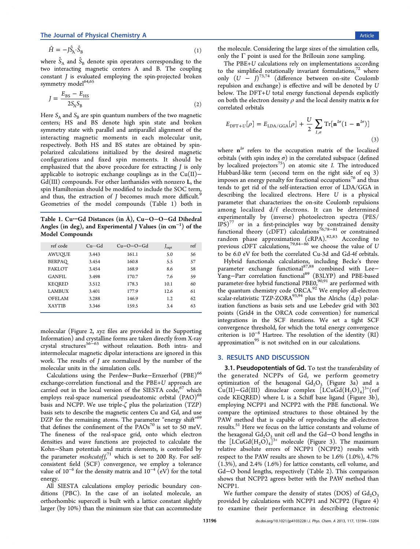<span id="page-2-0"></span>
$$
\hat{H} = -j\hat{S}_A \cdot \hat{S}_B \tag{1}
$$

where  $\hat{S}_{\mathrm{A}}$  and  $\hat{S}_{\mathrm{B}}$  denote spin operators corresponding to the two interacting magnetic centers A and B. The coupling constant J is evaluated employing the spin-projected broken symmetry model<sup>64,65</sup>

$$
J = \frac{E_{\rm BS} - E_{\rm HS}}{2S_{\rm A}S_{\rm B}}\tag{2}
$$

Here  $S_A$  and  $S_B$  are spin quantum numbers of the two magnetic centers; HS and BS denote high spin state and broken symmetry state with parallel and antiparallel alignment of the interacting magnetic moments in each molecular unit, respectively. Both HS and BS states are obtained by spinpolarized calculations initialized by the desired magnetic configurations and fixed spin moments. It should be emphasized that the above procedure for extracting J is only applicable to isotropic exchange couplings as in the  $Cu(II)$ − Gd(III) compounds. For other lanthanides with nonzero L, the spin Hamiltonian should be modified to include the SOC term, and thus, the extraction of  *becomes much more difficult.<sup>9</sup>* Geometries of the model compounds (Table 1) both in

Table 1. Cu···Gd Distances (in Å), Cu−O−O−Gd Dihedral Angles (in deg), and Experimental J Values (in  $\rm cm^{-1})$  of the Model Compounds

| ref code      | $Cu \cdots Gd$ | $Cu-O-O-Gd$ | J <sub>expt</sub> | ref |
|---------------|----------------|-------------|-------------------|-----|
| <b>AWUQUE</b> | 3.443          | 161.1       | 5.0               | 56  |
| BERPAO        | 3.454          | 160.8       | 5.5               | 57  |
| <b>FAKLOT</b> | 3.454          | 168.9       | 8.6               | 58  |
| GANFIL.       | 3.498          | 170.7       | 7.6               | 59  |
| KEORED        | 3.512          | 178.3       | 10.1              | 60  |
| <b>LAMBUX</b> | 3.401          | 177.9       | 12.6              | 61  |
| OFELAM        | 3.288          | 146.9       | 1.2               | 62  |
| <b>XAYTIB</b> | 3.346          | 159.5       | 3.4               | 63  |

molecular (Figure 2, xyz files are provided in the Supporting Information) and crystalline forms are taken directly from X-ray crystal structures56−<sup>63</sup> without relaxation. Both [intra- and](#page-7-0) [intermolecul](#page-7-0)ar ma[gn](#page-3-0)etic dipolar interactions are ignored in this work. The result[s o](#page-9-0)f [J](#page-9-0) are normalized by the number of the molecular units in the simulation cells.

Calculations using the Perdew-Burke-Ernzerhof (PBE)<sup>66</sup> exchange-correlation functional and the PBE+U approach are carried out in the local version of the SIESTA code, $67$  whi[ch](#page-9-0) employs real-space numerical pseudoatomic orbital (PAO)<sup>68</sup> basis a[n](#page-9-0)d NCPP. We use triple- $\zeta$  plus the polarization (TZP) basis sets to describe the magnetic centers Cu and Gd, and u[se](#page-9-0) DZP for the remaining atoms. The parameter "energy shift"<sup>69</sup> that defines the confinement of the  $PAOs<sup>70</sup>$  is set to 50 meV. The fineness of the real-space grid, onto which electr[on](#page-9-0) densities and wave functions are projec[ted](#page-9-0) to calculate the Kohn−Sham potentials and matrix elements, is controlled by the parameter *meshcutoff*,<sup>71</sup> which is set to 200 Ry. For selfconsistent field (SCF) convergence, we employ a tolerance value of  $10^{-6}$  for the dens[ity](#page-9-0) matrix and  $10^{-4}$  (eV) for the total energy.

All SIESTA calculations employ periodic boundary conditions (PBC). In the case of an isolated molecule, an orthorhombic supercell is built with a lattice constant slightly larger (by 10%) than the minimum size that can accommodate

the molecule. Considering the large sizes of the simulation cells, only the  $\Gamma$  point is used for the Brillouin zone sampling.

The PBE+U calculations rely on implementations according to the simplified rotationally invariant formulations, $72$  where only  $(U - J)^{73,74}$  (difference between on-site Coulomb repulsion and exchange) is effective and will be deno[te](#page-9-0)d by U below. The DF[T+](#page-9-0)[U](#page-9-0) total energy functional depends explicitly on both the electron density  $\rho$  and the local density matrix **n** for correlated orbitals

$$
E_{\text{DFT}+U}[\rho] = E_{\text{LDA/GGA}}[\rho] + \frac{U}{2} \sum_{I,\sigma} \text{Tr}[\mathbf{n}^{I\sigma}(1-\mathbf{n}^{I\sigma})]
$$
\n(3)

where  $n^{1\sigma}$  refers to the occupation matrix of the localized orbitals (with spin index  $\sigma$ ) in the correlated subspace (defined by localized projectors<sup>75</sup>) on atomic site I. The introduced Hubbard-like term (second term on the right side of eq 3) imposes an energy pen[alty](#page-9-0) for fractional occupations<sup>76</sup> and thus tends to get rid of the self-interaction error of LDA/GGA in describing the localized electrons. Here U is [a](#page-9-0) physical parameter that characterizes the on-site Coulomb repulsions among localized d/f electrons. It can be determined experimentally by (inverse) photoelectron spectra (PES/  $IPS)^{77}$  or in a first-principles way by constrained density functional theory (cDFT) calculations<sup>76,78-81</sup> or constrained rand[om](#page-9-0) phase approximation (cRPA).<sup>82,83</sup> According to previous cDFT calculations,<sup>79,84–86</sup> we [choose](#page-9-0) the value of U to be 6.0 eV for both the correlated Cu-3[d and](#page-9-0) Gd-4f orbitals.

Hybrid functionals calc[ula](#page-9-0)[tions,](#page-10-0) including Becke's three parameter exchange functional<sup>87,88</sup> combined with Lee− Yang-Parr correlation functional<sup>89</sup> (B3LYP) and PBE-based parameter-free hybrid functional [PBE0](#page-10-0),<sup>90,91</sup> are performed with the quantum chemistry code OR[CA](#page-10-0).<sup>92</sup> We employ all-electron scalar-relativistic TZP-ZORA $93,94$  plus [the](#page-10-0) Alrichs (d,p) polarization functions as basis sets and u[se](#page-10-0) Lebedev grid with 302 points (Grid4 in the ORC[A cod](#page-10-0)e convention) for numerical integrations in the SCF iterations. We set a tight SCF convergence threshold, for which the total energy convergence criterion is 10<sup>−</sup><sup>8</sup> Hartree. The resolution of the identity (RI) approximation $95$  is not switched on in our calculations.

#### 3. RESULTS [A](#page-10-0)ND DISCUSSION

3.1. Pseudopotentials of Gd. To test the transferability of the generated NCPPs of Gd, we perform geometry optimization of the hexagonal  $Gd_2O_3$  (Figure 3a) and a  $Cu(II)-Gd(III)$  dinuclear complex  $[LCuGd(H_2O)_4]^{3+}$ (ref code KEQRED) where L is a Schiff base ligand ([F](#page-3-0)igure 3b), employing NCPP1 and NCPP2 with the PBE functional. We compare the optimized structures to those obtained by [t](#page-3-0)he PAW method that is capable of reproducing the all-electron results.<sup>51</sup> Here we focus on the lattice constants and volume of the hexagonal  $Gd<sub>2</sub>O<sub>3</sub>$  unit cell and the  $Gd-O$  bond lengths in the  $[LCuGd(H_2O)_4]^{3+}$  $[LCuGd(H_2O)_4]^{3+}$  $[LCuGd(H_2O)_4]^{3+}$  molecule (Figure 3). The maximum relative absolute errors of NCPP1 (NCPP2) results with respect to the PAW results are shown to b[e 1](#page-3-0).6% (1.0%), 4.7% (1.3%), and 2.4% (1.6%) for lattice constants, cell volume, and Gd−O bond lengths, respectively (Table 2). This comparison shows that NCPP2 agrees better with the PAW method than NCPP1.

We further compare the density of stat[es](#page-3-0) (DOS) of  $Gd_2O_3$ provided by calculations with NCPP1 and NCPP2 (Figure 4) to examine their performance in describing electronic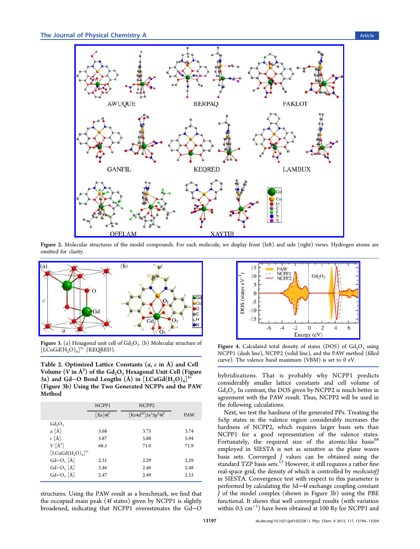<span id="page-3-0"></span>

Figure 2. Mole[cular structures of the model compounds. For each molecule, we display front \(left\) and side \(right\) views. Hydr](http://pubs.acs.org/action/showImage?doi=10.1021/jp4103228&iName=master.img-002.jpg&w=396&h=282)ogen atoms are omitted for clarity.



**Figure 3.** (a) Hexagonal unit cell of  $Gd<sub>2</sub>O<sub>3</sub>$ . (b) Molecular structure of  $[LCuGd(H<sub>2</sub>O)<sub>4</sub>]$ <sup>3+</sup> (KEQRED).

Table 2. Optimized Lattice Constants  $(a, c \text{ in } A)$  and Cell Volume  $(V$  in  $\rm \AA^3)$  of the  $Gd_2O_3$  Hexagonal Unit Cell (Figure 3a) and Gd−O Bond Lengths  $(\AA)$  in  $[LCuGd(H<sub>2</sub>O)<sub>4</sub>]^{3+}$ (Figure 3b) Using the Two Generated NCPPs and the PAW Method

|                                    | NCPP1                          | NCPP <sub>2</sub>                                                |            |
|------------------------------------|--------------------------------|------------------------------------------------------------------|------------|
|                                    | $\lceil \text{Xe} \rceil 4f^7$ | $\left[\text{Kr4d}^{10}\right]\text{Ss}^2\text{Sp}^6\text{4f}^7$ | <b>PAW</b> |
| $Gd_2O_3$                          |                                |                                                                  |            |
| $a \hat{A}$                        | 3.68                           | 3.75                                                             | 3.74       |
| $c \lceil \mathring{A} \rceil$     | 5.87                           | 5.88                                                             | 5.94       |
| $V[\AA^3]$                         | 68.5                           | 71.0                                                             | 71.9       |
| $[LCuGd(H, O)4]$ <sup>3+</sup>     |                                |                                                                  |            |
| $Gd-O_1[\AA]$                      | 2.31                           | 2.29                                                             | 2.29       |
| $Gd-O, \lceil \mathring{A} \rceil$ | 2.46                           | 2.46                                                             | 2.48       |
| $Gd-O3 [\AA]$                      | 2.47                           | 2.49                                                             | 2.53       |
|                                    |                                |                                                                  |            |

structures. Using the PAW result as a benchmark, we find that the occupied main peak (4f states) given by NCPP1 is slightly broadened, indicating that NCPP1 overestimates the Gd−O



Figure 4. Calculated total density of states (DOS) of  $Gd_2O_3$  using NCPP1 (dash line), NCPP2 (solid line), and the PAW method (filled curve). The valence band maximum (VBM) is set to 0 eV.

hybridizations. That is probably why NCPP1 predicts considerably smaller lattice constants and cell volume of  $Gd<sub>2</sub>O<sub>3</sub>$ . In contrast, the DOS given by NCPP2 is much better in agreement with the PAW result. Thus, NCPP2 will be used in the following calculations.

Next, we test the hardness of the generated PPs. Treating the 5s5p states in the valence region considerably increases the hardness of NCPP2, which requires larger basis sets than NCPP1 for a good representation of the valence states. Fortunately, the required size of the atomic-like basis<sup>68</sup> employed in SIESTA is not as sensitive as the plane waves basis sets. Converged J values can be obtained using t[he](#page-9-0) standard TZP basis sets.<sup>13</sup> However, it still requires a rather fine real-space grid, the density of which is controlled by meshcutoff in SIESTA. Convergen[ce](#page-8-0) test with respect to this parameter is performed by calculating the 3d−4f exchange coupling constant J of the model complex (shown in Figure 3b) using the PBE functional. It shows that well converged results (with variation within 0.5 cm<sup>−</sup><sup>1</sup> ) have been obtained at 100 Ry for NCPP1 and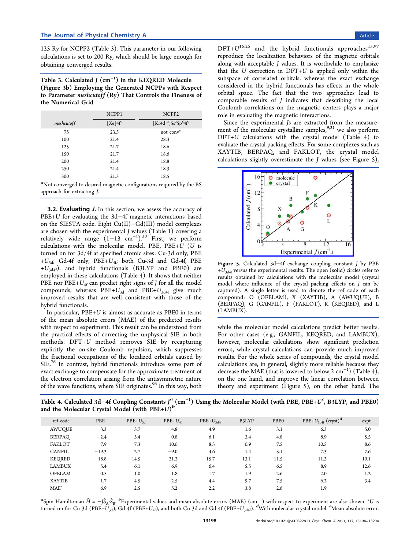<span id="page-4-0"></span>125 Ry for NCPP2 (Table 3). This parameter in our following calculations is set to 200 Ry, which should be large enough for obtaining converged results.

Table 3. Calculated J  $(\rm cm^{-1})$  in the KEQRED Molecule (Figure 3b) Employing the Generated NCPPs with Respect to Parameter *meshcutoff*  $(Ry)$  That Controls the Fineness of the Nu[me](#page-3-0)rical Grid

|            | NCPP1                          | NCPP <sub>2</sub>                                                |
|------------|--------------------------------|------------------------------------------------------------------|
| meshcutoff | $\lceil \text{Xe} \rceil 4f^7$ | $\left[\text{Kr4d}^{10}\right]\text{Ss}^2\text{Sp}^6\text{4f}^7$ |
| 75         | 23.3                           | not conv <sup>a</sup>                                            |
| 100        | 21.4                           | 28.3                                                             |
| 125        | 21.7                           | 18.6                                                             |
| 150        | 21.7                           | 18.6                                                             |
| 200        | 21.4                           | 18.8                                                             |
| 250        | 21.4                           | 18.3                                                             |
| 300        | 21.3                           | 18.5                                                             |

 $a$ Not converged to desired magnetic configurations required by the BS approach for extracting J.

3.2. Evaluating J. In this section, we assess the accuracy of PBE+U for evaluating the 3d−4f magnetic interactions based on the SIESTA code. Eight Cu(II)−Gd(III) model complexes are chosen with the experimental  $J$  values (Table 1) covering a relatively wide range (1−13 cm<sup>−</sup><sup>1</sup> ).<sup>30</sup> First, we perform calculations with the molecular model. PBE, [PB](#page-2-0)E+U (U is turned on for 3d/4f at specified atomic [si](#page-8-0)tes: Cu-3d only, PBE +U3d; Gd-4f only, PBE+U4f; both Cu-3d and Gd-4f, PBE  $+U_{3d4f}$ ), and hybrid functionals (B3LYP and PBE0) are employed in these calculations (Table 4). It shows that neither PBE nor PBE+ $U_{4f}$  can predict right signs of *J* for all the model compounds, whereas  $\text{PBE} + U_{3d}$  and  $\text{PBE} + U_{3d4f}$  give much improved results that are well consistent with those of the hybrid functionals.

In particular, PBE+U is almost as accurate as PBE0 in terms of the mean absolute errors (MAE) of the predicted results with respect to experiment. This result can be understood from the practical effects of correcting the unphysical SIE in both methods. DFT+U method removes SIE by recapturing explicitly the on-site Coulomb repulsion, which suppresses the fractional occupations of the localized orbitals caused by SIE.<sup>76</sup> In contrast, hybrid functionals introduce some part of exact exchange to compensate for the approximate treatment of the [ele](#page-9-0)ctron correlation arising from the antisymmetric nature of the wave functions, where SIE originates.<sup>96</sup> In this way, both

 $DFT+U^{16,25}$  and the hybrid functionals approaches<sup>15,97</sup> reproduce the localization behaviors of the magnetic orbitals along w[ith a](#page-8-0)cceptable J values. It is worthwhile to emph[asi](#page-8-0)[ze](#page-10-0) that the U correction in  $DFT+U$  is applied only within the subspace of correlated orbitals, whereas the exact exchange considered in the hybrid functionals has effects in the whole orbital space. The fact that the two approaches lead to comparable results of J indicates that describing the local Coulomb correlations on the magnetic centers plays a major role in evaluating the magnetic interactions.

Since the experimental Js are extracted from the measurement of the molecular crystalline samples,  $9,31$  we also perform DFT+U calculations with the crystal model (Table 4) to evaluate the crystal packing effects. For so[me c](#page-8-0)omplexes such as XAYTIB, BERPAQ, and FAKLOT, the crystal model calculations slightly overestimate the  $J$  values (see Figure 5),



Figure 5. Calculated 3d−4f exchange coupling constant J by PBE  $+U_{3\text{d4f}}$  vers[us the experimental results. The open \(solid\) circ](http://pubs.acs.org/action/showImage?doi=10.1021/jp4103228&iName=master.img-005.jpg&w=161&h=123)les refer to results obtained by calculations with the molecular model (crystal model where influence of the crystal packing effects on J can be captured). A single letter is used to denote the ref code of each compound: O (OFELAM), X (XAYTIB), A (AWUQUE), B (BERPAQ), G (GANFIL), F (FAKLOT), K (KEQRED), and L (LAMBUX).

while the molecular model calculations predict better results. For other cases (e.g., GANFIL, KEQRED, and LAMBUX), however, molecular calculations show significant prediction errors, while crystal calculations can provide much improved results. For the whole series of compounds, the crystal model calculations are, in general, slightly more reliable because they decrease the MAE (that is lowered to below 2  $\rm cm^{-1})$  (Table 4), on the one hand, and improve the linear correlation between theory and experiment (Figure 5), on the other hand. The

Table 4. Calculated 3d–4f Coupling Con[sta](#page-10-0)nts J<sup>a</sup> (cm<sup>−1</sup>) Using the Molecular Model (with PBE, PBE+U<sup>c</sup>, B3LYP, and PBE0) and the Molecular Crystal Model (with  $PBE+U$ )<sup>b</sup>

| ref code         | PBE     | $PBE+U_{3d}$ | $PBE+U_{4f}$ | $PBE+U_{3\text{d4f}}$ | B3LYP | PBE0 | PBE+ $U_{3\text{d4f}}$ (cryst) <sup>d</sup> | expt |
|------------------|---------|--------------|--------------|-----------------------|-------|------|---------------------------------------------|------|
| <b>AWUQUE</b>    | 3.3     | 3.7          | 4.8          | 4.9                   | 1.6   | 3.1  | 6.3                                         | 5.0  |
| BERPAO           | $-2.4$  | 5.4          | 0.8          | 6.1                   | 3.4   | 4.8  | 8.9                                         | 5.5  |
| <b>FAKLOT</b>    | 7.9     | 7.3          | 10.6         | 8.3                   | 6.9   | 7.5  | 10.5                                        | 8.6  |
| <b>GANFIL</b>    | $-19.3$ | 2.7          | $-9.0$       | 4.6                   | 1.4   | 3.1  | 7.3                                         | 7.6  |
| <b>KEQRED</b>    | 18.8    | 14.5         | 21.2         | 15.7                  | 13.1  | 11.5 | 11.3                                        | 10.1 |
| <b>LAMBUX</b>    | 5.4     | 6.1          | 6.9          | 6.4                   | 5.5   | 6.5  | 8.9                                         | 12.6 |
| <b>OFELAM</b>    | 0.5     | 1.0          | 1.8          | 1.7                   | 1.9   | 2.6  | 2.0                                         | 1.2  |
| <b>XAYTIB</b>    | 1.7     | 4.5          | 2.5          | 4.4                   | 9.7   | 7.5  | 6.2                                         | 3.4  |
| MAE <sup>e</sup> | 6.9     | 2.5          | 5.2          | 2.2                   | 3.8   | 2.6  | 1.9                                         |      |

<sup>a</sup>Spin Hamiltonian  $\hat{H} = -\hat{J}_{A}^{\circ}\hat{S}_{B}$ . <sup>b</sup>Experimental values and mean absolute errors (MAE) (cm<sup>-1</sup>) with respect to experiment are also shown. <sup>c</sup>U is turned on for Cu-3d (PBE+U<sub>3d</sub>), Gd-4f (PBE+U<sub>4f</sub>), and both Cu-3d and Gd-4f (PBE+U<sub>3d4f</sub>). <sup>d</sup>With molecular crystal model. <sup>e</sup>Mean absolute error.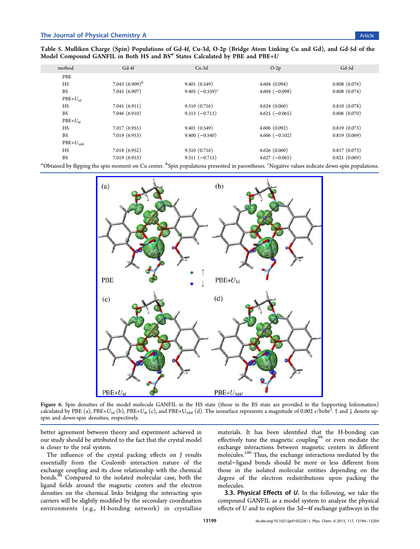<span id="page-5-0"></span>Table 5. Mulliken Charge (Spin) Populations of Gd-4f, Cu-3d, O-2p (Bridge Atom Linking Cu and Gd), and Gd-5d of the Model Compound GANFIL in Both HS and  $BS<sup>a</sup>$  States Calculated by PBE and PBE+U

| method         | $Gd-4f$           | $Cu-3d$            | $O-2p$           | Gd-5d        |
|----------------|-------------------|--------------------|------------------|--------------|
| PBE            |                   |                    |                  |              |
| HS             | 7.043 $(6.909)^b$ | 9.401(0.549)       | 4.604(0.094)     | 0.808(0.076) |
| <b>BS</b>      | 7.045 (6.907)     | 9.405 $(-0.539)^c$ | $4.604 (-0.098)$ | 0.808(0.074) |
| $PBE+U_{3d}$   |                   |                    |                  |              |
| HS             | 7.045(6.911)      | 9.310(0.716)       | 4.624(0.060)     | 0.810(0.078) |
| <b>BS</b>      | 7.046(6.910)      | $9.313(-0.713)$    | $4.625 (-0.065)$ | 0.806(0.070) |
| $PBE+U_{4f}$   |                   |                    |                  |              |
| HS             | 7.017(6.955)      | 9.401(0.549)       | 4.606(0.092)     | 0.819(0.073) |
| <b>BS</b>      | 7.019(6.953)      | $9.400 (-0.540)$   | $4.606(-0.102)$  | 0.819(0.069) |
| $PBE+U_{3d4f}$ |                   |                    |                  |              |
| HS             | 7.018(6.952)      | 9.310(0.716)       | 4.626(0.060)     | 0.817(0.073) |
| <b>BS</b>      | 7.019(6.953)      | $9.311 (-0.715)$   | $4.627(-0.065)$  | 0.821(0.069) |

 ${}^a$ Obtained by flipping the spin moment on Cu center.  ${}^b$ Spin populations presented in parentheses.  ${}^c$ Negative values indicate down-spin populations.



Figure 6. Spin densities [of the model molecule GANFIL in the HS state \(those in the BS state are provided in the](http://pubs.acs.org/action/showImage?doi=10.1021/jp4103228&iName=master.img-006.jpg&w=332&h=324) Supporting Information) calculated by PBE (a), PBE+U<sub>3d</sub> (b), PBE+U<sub>4f</sub> (c), and PBE+U<sub>3d4f</sub> (d). The isosurface represents a magnitude of 0.002 e/bohr<sup>3</sup>. ↑ and ↓ denote upspin and down-spin densities, respectively.

better agreement between theory and experiment achieved in our study should be attributed to the fact that the crystal model is closer to the real system.

The influence of the crystal packing effects on J results essentially from the Coulomb interaction nature of the exchange coupling and its close relationship with the chemical bonds.<sup>98</sup> Compared to the isolated molecular case, both the ligand fields around the magnetic centers and the electron densit[ies](#page-10-0) on the chemical links bridging the interacting spin carriers will be slightly modified by the secondary coordination environments (e.g., H-bonding network) in crystalline

materials. It has been identified that the H-bonding can effectively tune the magnetic coupling<sup>99</sup> or even mediate the exchange interactions between magnetic centers in different molecules.<sup>100</sup> Thus, the exchange inter[act](#page-10-0)ions mediated by the metal−ligand bonds should be more or less different from those in [the](#page-10-0) isolated molecular entities depending on the degree of the electron redistributions upon packing the molecules.

**3.3. Physical Effects of**  $U$ **.** In the following, we take the compound GANFIL as a model system to analyze the physical effects of U and to explore the 3d−4f exchange pathways in the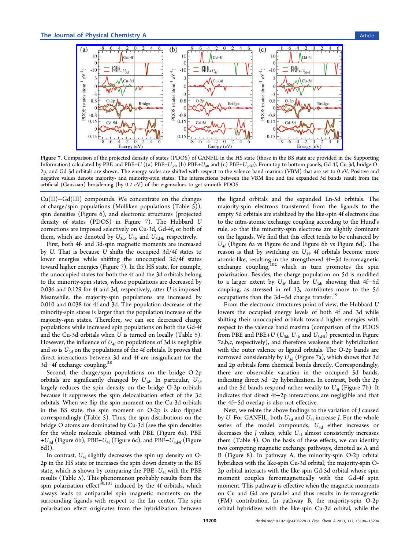

Figure 7. Com[parison of the projected density of states \(PDOS\) of GANFIL in the HS state \(those in the BS state are provided in](http://pubs.acs.org/action/showImage?doi=10.1021/jp4103228&iName=master.img-007.jpg&w=392&h=152) the Supporting Information) calculated by PBE and PBE+U ((a) PBE+U<sub>3d</sub>, (b) PBE+U<sub>4p</sub> and (c) PBE+U<sub>3d4f</sub>). From top to bottom panels, Gd-4f, Cu-3d, bridge O-2p, and Gd-5d orbitals are shown. The energy scales are shifted with respect to the valence band maxima (VBM) that are set to 0 eV. Positive and negative values denote majority- and minority-spin states. The intersections between the VBM line and the expanded 5d bands resu[lt from the](#page-7-0) artifi[cial](#page-7-0) [\(Ga](#page-7-0)ussian) broadening (by 0.2 eV) of the eigenvalues to get smooth PDOS.

Cu(II)−Gd(III) compounds. We concentrate on the changes of charge/spin populations (Mulliken populations (Table 5)), spin densities (Figure 6), and electronic structures (projected density of states (PDOS) in Figure 7). The Hubbard U corrections are impose[d](#page-5-0) selectively on Cu-3d, Gd-4f, or bot[h](#page-5-0) of them, which are denoted by  $U_{3d}$ ,  $U_{4f}$  and  $U_{3d4f}$  respectively.

First, both 4f- and 3d-spin magnetic moments are increased by U. That is because U shifts the occupied 3d/4f states to lower energies while shifting the unoccupied 3d/4f states toward higher energies (Figure 7). In the HS state, for example, the unoccupied states for both the 4f and the 3d orbitals belong to the minority-spin states, whose populations are decreased by 0.036 and 0.129 for 4f and 3d, respectively, after U is imposed. Meanwhile, the majority-spin populations are increased by 0.010 and 0.038 for 4f and 3d. The population decrease of the minority-spin states is larger than the population increase of the majority-spin states. Therefore, we can see decreased charge populations while increased spin populations on both the Gd-4f and the Cu-3d orbitals when U is turned on locally (Table 5). However, the influence of  $U_{\rm 4f}$  on populations of 3d is negligible and so is  $U_{3d}$  on the populations of the 4f orbitals. It proves t[ha](#page-5-0)t direct interactions between 3d and 4f are insignificant for the 3d−4f exchange coupling.<sup>28</sup>

Second, the charge/spin populations on the bridge O-2p orbitals are significantly [ch](#page-8-0)anged by  $U_{3d}$ . In particular,  $U_{3d}$ largely reduces the spin density on the bridge O-2p orbitals because it suppresses the spin delocalization effect of the 3d orbitals. When we flip the spin moment on the Cu-3d orbitals in the BS state, the spin moment on O-2p is also flipped correspondingly (Table 5). Thus, the spin distributions on the bridge O atoms are dominated by Cu-3d (see the spin densities for the whole molecule [o](#page-5-0)btained with PBE (Figure 6a), PBE + $U_{\rm 3d}$  (Figure 6b), PBE+ $U_{\rm 4f}$  (Figure 6c), and PBE+ $U_{\rm 3d4f}$  (Figure 6d)).

In contrast,  $U_{4f}$  slightly decreases [t](#page-5-0)he spin up dens[ity](#page-5-0) on O-[2](#page-5-0)p in the HS [st](#page-5-0)ate or increases the spin down density in the BS state, which is shown by comparing the  $PBE+U_{4f}$  with the  $PBE$ results (Table 5). This phenomenon probably results from the spin polarization effect<sup>30,101</sup> induced by the 4f orbitals, which always leads [to](#page-5-0) antiparallel spin magnetic moments on the surrounding ligands w[ith](#page-8-0) [re](#page-10-0)spect to the Ln center. The spin polarization effect originates from the hybridization between the ligand orbitals and the expanded Ln-5d orbitals. The majority-spin electrons transferred from the ligands to the empty 5d orbitals are stabilized by the like-spin 4f electrons due to the intra-atomic exchange coupling according to the Hund's rule, so that the minority-spin electrons are slightly dominant on the ligands. We find that this effect tends to be enhanced by  $U_{4f}$  (Figure 6a vs Figure 6c and Figure 6b vs Figure 6d). The reason is that by switching on  $U_{4f}$  4f orbitals become more atomic-like, [re](#page-5-0)sulting in t[he](#page-5-0) strengthene[d](#page-5-0) 4f−5d ferr[om](#page-5-0)agnetic exchange coupling,<sup>102</sup> which in turn promotes the spin polarization. Besides, the charge population on 5d is modified to a larger extent [by](#page-10-0)  $U_{4f}$  than by  $U_{3d}$ , showing that 4f-5d coupling, as stressed in ref 13, contributes more to the 5d occupations than the 3d−5d charge transfer.<sup>19</sup>

From the electronic struct[ures](#page-8-0) point of view, the Hubbard U lowers the occupied energy levels of both [4](#page-8-0)f and 3d while shifting their unoccupied orbitals toward higher energies with respect to the valence band maxima (comparison of the PDOS from PBE and PBE+U ( $U_{3d}$ ,  $U_{4\theta}$  and  $U_{3d4f}$ ) presented in Figure 7a,b,c, respectively), and therefore weakens their hybridization with the outer valence or ligand orbitals. The O-2p bands are narrowed considerably by  $U_{3d}$  (Figure 7a), which shows that 3d and 2p orbitals form chemical bonds directly. Correspondingly, there are observable variation in the occupied 5d bands, indicating direct 5d−2p hybridization. In contrast, both the 2p and the 5d bands respond rather weakly to  $U_{4f}$  (Figure 7b). It indicates that direct 4f−2p interactions are negligible and that the 4f−5d overlap is also not effective.

Next, we relate the above findings to the variation of J caused by U. For GANFIL, both  $U_{3d}$  and  $U_{4f}$  increase J. For the whole series of the model compounds,  $U_{3d}$  either increases or decreases the *J* values, while  $U_{4f}$  almost consistently increases them (Table 4). On the basis of these effects, we can identify two competing magnetic exchange pathways, denoted as A and B (Figure 8[\).](#page-4-0) In pathway A, the minority-spin O-2p orbital hybridizes with the like-spin Cu-3d orbital; the majority-spin O-2p orbital i[nt](#page-7-0)eracts with the like-spin Gd-5d orbital whose spin moment couples ferromagnetically with the Gd-4f spin moment. This pathway is effective when the magnetic moments on Cu and Gd are parallel and thus results in ferromagnetic (FM) contribution. In pathway B, the majority-spin O-2p orbital hybridizes with the like-spin Cu-3d orbital, while the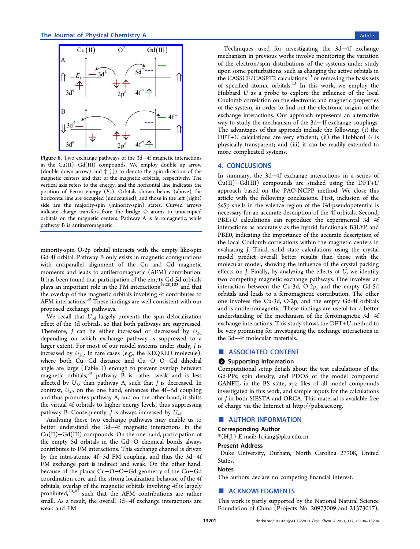<span id="page-7-0"></span>

Figure 8. Two exchange pathways of the 3d−4f magnetic interactions in the Cu(II)−[Gd\(III\) compounds. We employ double u](http://pubs.acs.org/action/showImage?doi=10.1021/jp4103228&iName=master.img-008.jpg&w=178&h=153)p arrow (double down arrow) and ↑ (↓) to denote the spin direction of the magnetic centers and that of the magnetic orbitals, respectively. The vertical axis refers to the energy, and the horizontal line indicates the position of Fermi energy  $(E_F)$ . Orbitals shown below (above) the horizontal line are occupied (unoccupied), and those in the left (right) side are the majority-spin (minority-spin) states. Curved arrows indicate charge transfers from the bridge O atoms to unoccupied orbitals on the magnetic centers. Pathway A is ferromagnetic, while pathway B is antiferromagnetic.

minority-spin O-2p orbital interacts with the empty like-spin Gd-4f orbital. Pathway B only exists in magnetic configurations with antiparallel alignment of the Cu and Gd magnetic moments and leads to antiferromagnetic (AFM) contribution. It has been found that participation of the empty Gd-5d orbitals plays an important role in the FM interactions<sup>19,20,103</sup> and that the overlap of the magnetic orbitals involving 4f contributes to AFM interactions.<sup>30</sup> These findings are well co[nsist](#page-8-0)[ent](#page-10-0) with our proposed exchange pathways.

We recall that  $U_{3d}$  $U_{3d}$  largely prevents the spin delocalization effect of the 3d orbitals, so that both pathways are suppressed. Therefore,  $J$  can be either increased or decreased by  $U_{3d}$ depending on which exchange pathway is suppressed to a larger extent. For most of our model systems under study, J is increased by  $U_{3d}$ . In rare cases (e.g., the KEQRED molecule), where both Cu···Gd distance and Cu−O−O−Gd dihedral angle are large (Table 1) enough to prevent overlap between magnetic orbitals, $30^{\circ}$  pathway B is rather weak and is less affected by  $U_{3d}$  than p[at](#page-2-0)hway A, such that  $J$  is decreased. In contrast,  $U_{4\theta}$  $U_{4\theta}$  $U_{4\theta}$  on the one hand, enhances the 4f–5d coupling and thus promotes pathway A, and on the other hand, it shifts the virtual 4f orbitals to higher energy levels, thus suppressing pathway B. Consequently, *J* is always increased by  $U_{4f}$ .

Analyzing these two exchange pathways may enable us to better understand the 3d−4f magnetic interactions in the Cu(II)−Gd(III) compounds. On the one hand, participation of the empty 5d orbitals in the Gd−O chemical bonds always contributes to FM interactions. This exchange channel is driven by the intra-atomic 4f−5d FM coupling, and thus the 3d−4f FM exchange part is indirect and weak. On the other hand, because of the planar Cu−O−O−Gd geometry of the Cu−Gd coordination core and the strong localization behavior of the 4f orbitals, overlap of the magnetic orbitals involving 4f is largely prohibited, $20,30$  such that the AFM contributions are rather small. As a result, the overall 3d−4f exchange interactions are weak and [FM.](#page-8-0)

Techniques used for investigating the 3d−4f exchange mechanism in previous works involve monitoring the variation of the electron/spin distributions of the systems under study upon some perturbations, such as changing the active orbitals in the CASSCF/CASPT2 calculations<sup>20</sup> or removing the basis sets of specified atomic orbitals.<sup>13</sup> In this work, we employ the Hubbard U as a probe to explor[e t](#page-8-0)he influence of the local Coulomb correlation on the [ele](#page-8-0)ctronic and magnetic properties of the system, in order to find out the electronic origins of the exchange interactions. Our approach represents an alternative way to study the mechanism of the 3d−4f exchange couplings. The advantages of this approach include the following: (i) the DFT+U calculations are very efficient; (ii) the Hubbard U is physically transparent; and (iii) it can be readily extended to more complicated systems.

## 4. CONCLUSIONS

In summary, the 3d−4f exchange interactions in a series of  $Cu(II)-Gd(III)$  compounds are studied using the DFT+U approach based on the PAO-NCPP method. We close this article with the following conclusions. First, inclusion of the 5s5p shells in the valence region of the Gd-pseudopotential is necessary for an accurate description of the 4f orbitals. Second, PBE+U calculations can reproduce the experimental 3d−4f interactions as accurately as the hybrid functionals B3LYP and PBE0, indicating the importance of the accurate description of the local Coulomb correlations within the magnetic centers in evaluating J. Third, solid state calculations using the crystal model predict overall better results than those with the molecular model, showing the influence of the crystal packing effects on J. Finally, by analyzing the effects of U, we identify two competing magnetic exchange pathways. One involves an interaction between the Cu-3d, O-2p, and the empty Gd-5d orbitals and leads to a ferromagnetic contribution. The other one involves the Cu-3d, O-2p, and the empty Gd-4f orbitals and is antiferromagnetic. These findings are useful for a better understanding of the mechanism of the ferromagnetic 3d−4f exchange interactions. This study shows the DFT+U method to be very promising for investigating the exchange interactions in the 3d−4f molecular materials.

#### ■ ASSOCIATED CONTENT

#### **6** Supporting Information

Computational setup details about the test calculations of the Gd-PPs, spin density, and PDOS of the model compound GANFIL in the BS state, xyz files of all model compounds investigated in this work, and sample inputs for the calculations of J in both SIESTA and ORCA. This material is available free of charge via the Internet at http://pubs.acs.org.

#### ■ AUTHOR INFORMATI[ON](http://pubs.acs.org)

# Corresponding Author

\*(H.J.) E-mail: h.jiang@pku.edu.cn.

#### Present Address

† Duke Universi[ty, Durham, North](mailto:h.jiang@pku.edu.cn) Carolina 27708, United States.

#### Notes

The authors declare no competing financial interest.

## ■ ACKNOWLEDGMENTS

This work is partly supported by the National Natural Science Foundation of China (Projects No. 20973009 and 21373017),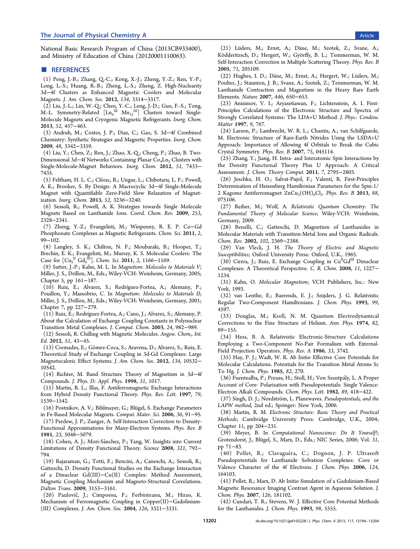<span id="page-8-0"></span>National Basic Research Program of China (2013CB933400), and Ministry of Education of China (20120001110063).

#### ■ REFERENCES

(1) Peng, J.-B.; Zhang, Q.-C.; Kong, X.-J.; Zheng, Y.-Z.; Ren, Y.-P.; Long, L.-S.; Huang, R.-B.; Zheng, L.-S.; Zheng, Z. High-Nuclearity 3d−4f Clusters as Enhanced Magnetic Coolers and Molecular Magnets. J. Am. Chem. Soc. 2012, 134, 3314−3317.

(2) Liu, J.-L.; Lin, W.-Q.; Chen, Y.-C.; Leng, J.-D.; Guo, F.-S.; Tong, M.-L. Symmetry-Related  $\left[\text{Ln}_6^{\text{III}} \text{ Mn}_{12}^{\text{III}}\right]$  Clusters toward Single-Molecule Magnets and Cryogenic Magnetic Refrigerants. Inorg. Chem. 2013, 52, 457−463.

(3) Andruh, M.; Costes, J. P.; Diaz, C.; Gao, S. 3d−4f Combined Chemistry: Synthetic Strategies and Magnetic Properties. Inorg. Chem. 2009, 48, 3342−3359.

(4) Liu, Y.; Chen, Z.; Ren, J.; Zhao, X.-Q.; Cheng, P.; Zhao, B. Two-Dimensional 3d–4f Networks Containing Planar Co<sub>4</sub>Ln<sub>2</sub> Clusters with Single-Molecule-Magnet Behaviors. Inorg. Chem. 2012, 51, 7433− 7435.

(5) Feltham, H. L. C.; Clérac, R.; Ungur, L.; Chibotaru, L. F.; Powell, A. K.; Brooker, S. By Design: A Macrocyclic 3d−4f Single-Molecule Magnet with Quantifiable Zero-Field Slow Relaxation of Magnetization. Inorg. Chem. 2013, 52, 3236−3240.

(6) Sessoli, R.; Powell, A. K. Strategies towards Single Molecule Magnets Based on Lanthanide Ions. Coord. Chem. Rev. 2009, 253, 2328−2341.

(7) Zheng, Y.-Z.; Evangelisti, M.; Winpenny, R. E. P. Co−Gd Phosphonate Complexes as Magnetic Refrigerants. Chem. Sci. 2011, 2, 99−102.

(8) Langley, S. K.; Chilton, N. F.; Moubaraki, B.; Hooper, T.; Brechin, E. K.; Evangelisti, M.; Murray, K. S. Molecular Coolers: The Case for  $\left[\text{Cu}_{5}^{II}\text{Gd}_{4}^{III}\right]$ . Chem. Sci. 2011, 2, 1166–1169.

(9) Sutter, J.-P.; Kahn, M. L. In Magnetism: Molecules to Materials V; Miller, J. S., Drillon, M., Eds.; Wiley-VCH: Weinheim, Germany, 2005; Chapter 5, pp 161−187.

(10) Ruiz, E.; Alvarez, S.; Rodríguez-Fortea, A.; Alemany, P.; Pouillon, Y.; Massobrio, C. In Magnetism: Molecules to Materials II; Miller, J. S., Drillon, M., Eds.; Wiley-VCH: Weinheim, Germany, 2001; Chapter 7, pp 227−279.

(11) Ruiz, E.; Rodríguez-Fortea, A.; Cano, J.; Alvarez, S.; Alemany, P. About the Calculation of Exchange Coupling Constants in Polynuclear Transition Metal Complexes. J. Comput. Chem. 2003, 24, 982−989.

(12) Sessoli, R. Chilling with Magnetic Molecules. Angew. Chem., Int. Ed. 2012, 51, 43−45.

(13) Cremades, E.; Gómez-Coca, S.; Aravena, D.; Alvarez, S.; Ruiz, E. Theoretical Study of Exchange Coupling in 3d-Gd Complexes: Large Magnetocaloric Effect Systems. J. Am. Chem. Soc. 2012, 134, 10532− 10542.

(14) Richter, M. Band Structure Theory of Magnetism in 3d−4f Compounds. J. Phys. D: Appl. Phys. 1998, 31, 1017.

(15) Martin, R. L.; Illas, F. Antiferromagnetic Exchange Interactions from Hybrid Density Functional Theory. Phys. Rev. Lett. 1997, 79, 1539−1542.

(16) Postnikov, A. V.; Bihlmayer, G.; Blü gel, S. Exchange Parameters in Fe-Based Molecular Magnets. Comput. Mater. Sci. 2006, 36, 91−95.

(17) Perdew, J. P.; Zunger, A. Self-Interaction Correction to Density-Functional Approximations for Many-Electron Systems. Phys. Rev. B 1981, 23, 5048−5079.

(18) Cohen, A. J.; Mori-Sánchez, P.; Yang, W. Insights into Current Limitations of Density Functional Theory. Science 2008, 321, 792− 794.

(19) Rajaraman, G.; Totti, F.; Bencini, A.; Caneschi, A.; Sessoli, R.; Gatteschi, D. Density Functional Studies on the Exchange Interaction of a Dinuclear Gd(III)−Cu(II) Complex: Method Assessment, Magnetic Coupling Mechanism and Magneto-Structural Correlations. Dalton Trans. 2009, 3153−3161.

(20) Paulovič, J.; Cimpoesu, F.; Ferbinteanu, M.; Hirao, K. Mechanism of Ferromagnetic Coupling in Copper(II)−Gadolinium- (III) Complexes. J. Am. Chem. Soc. 2004, 126, 3321−3331.

(21) Lü ders, M.; Ernst, A.; Dane, M.; Szotek, Z.; Svane, A.; ̈ Kö dderitzsch, D.; Hergert, W.; Gyö rffy, B. L.; Temmerman, W. M. Self-Interaction Correction in Multiple Scattering Theory. Phys. Rev. B 2005, 71, 205109.

(22) Hughes, I. D.; Däne, M.; Ernst, A.; Hergert, W.; Lüders, M.; Poulter, J.; Staunton, J. B.; Svane, A.; Szotek, Z.; Temmerman, W. M. Lanthanide Contraction and Magnetism in the Heavy Rare Earth Elements. Nature 2007, 446, 650−653.

(23) Anisimov, V. I.; Aryasetiawan, F.; Lichtenstein, A. I. First-Principles Calculations of the Electronic Structure and Spectra of Strongly Correlated Systems: The LDA+U Method. J. Phys.: Condens. Matter 1997, 9, 767.

(24) Larson, P.; Lambrecht, W. R. L.; Chantis, A.; van Schilfgaarde, M. Electronic Structure of Rare-Earth Nitrides Using the LSDA+U Approach: Importance of Allowing 4f Orbitals to Break the Cubic Crystal Symmetry. Phys. Rev. B 2007, 75, 045114.

(25) Zhang, Y.; Jiang, H. Intra- and Interatomic Spin Interactions by the Density Functional Theory Plus U Approach: A Critical Assessment. J. Chem. Theory Comput. 2011, 7, 2795−2803.

(26) Jeschke, H. O.; Salvat-Pujol, F.; Valentí, R. First-Principles Determination of Heisenberg Hamiltonian Parameters for the Spin-1/ 2 Kagome Antiferromagnet  $ZnCu<sub>3</sub>(OH)<sub>6</sub>Cl<sub>2</sub>$ . Phys. Rev. B 2013, 88, 075106.

(27) Reiher, M.; Wolf, A. Relativistic Quantum Chemistry: The Fundamental Theory of Molecular Science; Wiley-VCH: Weinheim, Germany, 2009.

(28) Benelli, C.; Gatteschi, D. Magnetism of Lanthanides in Molecular Materials with Transition-Metal Ions and Organic Radicals. Chem. Rev. 2002, 102, 2369−2388.

(29) Van Vleck, J. H. The Theory of Electric and Magnetic Susceptibilities; Oxford University Press: Oxford, U.K., 1965.

(30) Cirera, J.; Ruiz, E. Exchange Coupling in  $Cu<sup>H</sup>Gd<sup>III</sup>$  Dinuclear Complexes: A Theoretical Perspective. C. R. Chim. 2008, 11, 1227− 1234.

(31) Kahn, O. Molecular Magnetism; VCH Publishers, Inc.: New York, 1993.

(32) van Lenthe, E.; Baerends, E. J.; Snijders, J. G. Relativistic Regular Two-Component Hamiltonians. J. Chem. Phys. 1993, 99, 4597.

(33) Douglas, M.; Kroll, N. M. Quantum Electrodynamical Corrections to the Fine Structure of Helium. Ann. Phys. 1974, 82, 89−155.

(34) Hess, B. A. Relativistic Electronic-Structure Calculations Employing a Two-Component No-Pair Formalism with External-Field Projection Operators. Phys. Rev. A 1986, 33, 3742.

(35) Hay, P. J.; Wadt, W. R. Ab Initio Effective Core Potentials for Molecular Calculations. Potentials for the Transition Metal Atoms Sc To Hg. J. Chem. Phys. 1985, 82, 270.

(36) Fuentealba, P.; Preuss, H.; Stoll, H.; Von Szentpaly, L. A Proper ́ Account of Core- Polarization with Pseudopotentials: Single Valence-Electron Alkali Compounds. Chem. Phys. Lett. 1982, 89, 418−422.

(37) Singh, D. J.; Nordström, L. Planewaves. Pseudopotentials, and the LAPW method, 2nd ed.; Springer: New York, 2006.

(38) Martin, R. M. Electronic Structure: Basic Theory and Practical Methods; Cambridge University Press: Cambridge, U.K., 2004; Chapter 11, pp 204−231.

(39) Meyer, B. In Computational Nanoscience: Do It Yourself!; Grotendorst, J., Blü gel, S., Marx, D., Eds.; NIC Series, 2006; Vol. 31, pp 71−83.

(40) Pollet, R.; Clavaguéra, C.; Dognon, J. P. Ultrasoft Pseudopotentials for Lanthanide Solvation Complexes: Core or Valence Character of the 4f Electrons. J. Chem. Phys. 2006, 124, 164103.

(41) Pollet, R.; Marx, D. Ab Initio Simulation of a Gadolinium-Based Magnetic Resonance Imaging Contrast Agent in Aqueous Solution. J. Chem. Phys. 2007, 126, 181102.

(42) Cundari, T. R.; Stevens, W. J. Effective Core Potential Methods for the Lanthanides. J. Chem. Phys. 1993, 98, 5555.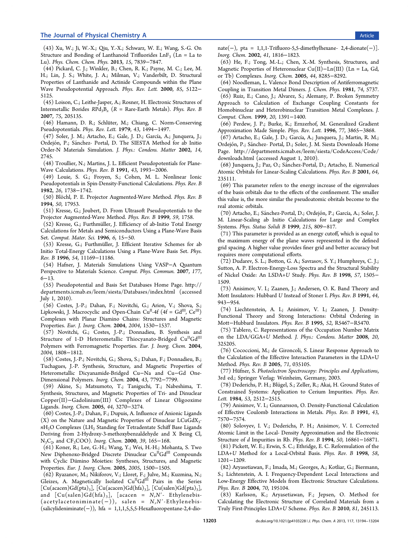<span id="page-9-0"></span>(43) Xu, W.; Ji, W.-X.; Qiu, Y.-X.; Schwarz, W. E.; Wang, S.-G. On Structure and Bonding of Lanthanoid Trifluorides  $LnF_3$  ( $Ln = La$  to Lu). Phys. Chem. Chem. Phys. 2013, 15, 7839−7847.

(44) Pickard, C. J.; Winkler, B.; Chen, R. K.; Payne, M. C.; Lee, M. H.; Lin, J. S.; White, J. A.; Milman, V.; Vanderbilt, D. Structural Properties of Lanthanide and Actinide Compounds within the Plane Wave Pseudopotential Approach. Phys. Rev. Lett. 2000, 85, 5122− 5125.

(45) Loison, C.; Leithe-Jasper, A.; Rosner, H. Electronic Structures of Intermetallic Borides  $R P d_3 B_x$  (R = Rare-Earth Metals). Phys. Rev. B 2007, 75, 205135.

(46) Hamann, D. R.; Schlüter, M.; Chiang, C. Norm-Conserving Pseudopotentials. Phys. Rev. Lett. 1979, 43, 1494−1497.

(47) Soler, J. M.; Artacho, E.; Gale, J. D.; García, A.; Junquera, J.; Ordejón, P.; Sánchez- Portal, D. The SIESTA Method for ab Initio Order-N Materials Simulation. J. Phys.: Condens. Matter 2002, 14, 2745.

(48) Troullier, N.; Martins, J. L. Efficient Pseudopotentials for Plane-Wave Calculations. Phys. Rev. B 1991, 43, 1993−2006.

(49) Louie, S. G.; Froyen, S.; Cohen, M. L. Nonlinear Ionic Pseudopotentials in Spin-Density-Functional Calculations. Phys. Rev. B 1982, 26, 1738−1742.

(50) Blöchl, P. E. Projector Augmented-Wave Method. Phys. Rev. B 1994, 50, 17953.

(51) Kresse, G.; Joubert, D. From Ultrasoft Pseudopotentials to the Projector Augmented-Wave Method. Phys. Rev. B 1999, 59, 1758.

(52) Kresse, G.; Furthmüller, J. Efficiency of ab-Initio Total Energy Calculations for Metals and Semiconductors Using a Plane-Wave Basis Set. Comput. Mater. Sci. 1996, 6, 15−50.

(53) Kresse, G.; Furthmüller, J. Efficient Iterative Schemes for ab Initio Total-Energy Calculations Using a Plane-Wave Basis Set. Phys. Rev. B 1996, 54, 11169−11186.

(54) Hafner, J. Materials Simulations Using VASP−A Quantum Perspective to Materials Science. Comput. Phys. Commun. 2007, 177, 6−13.

(55) Pseudopotential and Basis Set Databases Home Page. http:// departments.icmab.es/leem/siesta/Databases/index.html (accessed July 1, 2010).

(56) Costes, J.-P.; Dahan, F.; Novitchi, G.; Arion, V.; Sh[ova,](http://departments.icmab.es/leem/siesta/Databases/index.html) [S.;](http://departments.icmab.es/leem/siesta/Databases/index.html) [Lipkowski, J. Macrocyclic and Open-Chain Cu](http://departments.icmab.es/leem/siesta/Databases/index.html)<sup>II</sup>-4f (4f = Gd<sup>III</sup>, Ce<sup>III</sup>) Complexes with Planar Diamino Chains: Structures and Magnetic Properties. Eur. J. Inorg. Chem. 2004, 2004, 1530−1537.

(57) Novitchi, G.; Costes, J.-P.; Donnadieu, B. Synthesis and Structure of 1-D Heterometallic Thiocyanato-Bridged Cu<sup>II</sup>Gd<sup>III</sup> Polymers with Ferromagnetic Properties. Eur. J. Inorg. Chem. 2004, 2004, 1808−1812.

(58) Costes, J.-P.; Novitchi, G.; Shova, S.; Dahan, F.; Donnadieu, B.; Tuchagues, J.-P. Synthesis, Structure, and Magnetic Properties of Heterometallic Dicyanamide-Bridged Cu−Na and Cu−Gd One-Dimensional Polymers. Inorg. Chem. 2004, 43, 7792−7799.

(59) Akine, S.; Matsumoto, T.; Taniguchi, T.; Nabeshima, T. Synthesis, Structures, and Magnetic Properties of Tri- and Dinuclear Copper(II)−Gadolinium(III) Complexes of Linear Oligooxime Ligands. Inorg. Chem. 2005, 44, 3270−3274.

(60) Costes, J.-P.; Dahan, F.; Dupuis, A. Influence of Anionic Ligands  $(X)$  on the Nature and Magnetic Properties of Dinuclear LCuGdX<sub>3</sub>.  $nH<sub>2</sub>O$  Complexes (LH<sub>2</sub> Standing for Tetradentate Schiff Base Ligands Deriving from 2-Hydroxy-3-methoxybenzaldehyde and X Being Cl, N<sub>3</sub>C<sub>2</sub>, and CF<sub>3</sub>COO). Inorg. Chem. 2000, 39, 165–168.

(61) Koner, R.; Lee, G.-H.; Wang, Y.; Wei, H.-H.; Mohanta, S. Two New Diphenoxo-Bridged Discrete Dinuclear Cu<sup>II</sup>Gd<sup>III</sup> Compounds with Cyclic Diimino Moieties: Syntheses, Structures, and Magnetic Properties. Eur. J. Inorg. Chem. 2005, 2005, 1500−1505.

(62) Ryazanov, M.; Nikiforov, V.; Lloret, F.; Julve, M.; Kuzmina, N.; Gleizes, A. Magnetically Isolated  $Cu<sup>H</sup>Gd<sup>III</sup>$  Pairs in the Series  $[Cu(acacen)Gd(pta)<sub>3</sub>], [Cu(acacen)Gd(hfa)<sub>3</sub>], [Cu(salen)Gd(pta)<sub>3</sub>],$ and  $[Cu(salen)Gd(hfa)_{3}]$ ,  $[accen = N, N'-Ethylenebis (\text{acetylacetoniminate}(-)), \text{ salen} = N, N'.Ethylene bis-$ (salicylideniminate(−)), hfa = 1,1,1,5,5,5-Hexafluoropentane-2,4-dionate(−), pta = 1,1,1-Trifluoro-5,5-dimethylhexane- 2,4-dionate(−)]. Inorg. Chem. 2002, 41, 1816−1823.

(63) He, F.; Tong, M.-L.; Chen, X.-M. Synthesis, Structures, and Magnetic Properties of Heteronuclear Cu(II)−Ln(III) (Ln = La, Gd, or Tb) Complexes. Inorg. Chem. 2005, 44, 8285−8292.

(64) Noodleman, L. Valence Bond Description of Antiferromagnetic Coupling in Transition Metal Dimers. J. Chem. Phys. 1981, 74, 5737.

(65) Ruiz, E.; Cano, J.; Alvarez, S.; Alemany, P. Broken Symmetry Approach to Calculation of Exchange Coupling Constants for Homobinuclear and Heterobinuclear Transition Metal Complexes. J. Comput. Chem. 1999, 20, 1391−1400.

(66) Perdew, J. P.; Burke, K.; Ernzerhof, M. Generalized Gradient Approximation Made Simple. Phys. Rev. Lett. 1996, 77, 3865−3868.

(67) Artacho, E.; Gale, J. D.; García, A.; Junquera, J.; Martin, R. M.; Ordejón, P.; Sánchez- Portal, D.; Soler, J. M. Siesta Downloads Home Page. http://departments.icmab.es/leem/siesta/CodeAccess/Code/ downloads.html (accessed August 1, 2010).

(68) Junquera, J.; Paz, O.; Sanchez-Portal, D.; Artacho, E. Numerical ́ [Atomic Orbitals](http://departments.icmab.es/leem/siesta/CodeAccess/Code/downloads.html) [for](http://departments.icmab.es/leem/siesta/CodeAccess/Code/downloads.html) [Linear-Scaling](http://departments.icmab.es/leem/siesta/CodeAccess/Code/downloads.html) [Calculations.](http://departments.icmab.es/leem/siesta/CodeAccess/Code/downloads.html) Phys. Rev. B 2001, 64, 235111.

(69) This parameter refers to the energy increase of the eigenvalues of the basis orbitals due to the effects of the confinement. The smaller this value is, the more similar the pseudoatomic obritals become to the real atomic orbitals.

(70) Artacho, E.; Sánchez-Portal, D.; Ordejón, P.; García, A.; Soler, J. M. Linear-Scaling ab Initio Calculations for Large and Complex Systems. Phys. Status Solidi B 1999, 215, 809−817.

(71) This parameter is provided as an energy cutoff, which is equal to the maximum energy of the plane waves represented in the defined grid spacing. A higher value provides finer grid and better accuracy but requires more computational efforts.

(72) Dudarev, S. L.; Botton, G. A.; Savrasov, S. Y.; Humphreys, C. J.; Sutton, A. P. Electron-Energy-Loss Spectra and the Structural Stability of Nickel Oxide: An LSDA+U Study. Phys. Rev. B 1998, 57, 1505− 1509.

(73) Anisimov, V. I.; Zaanen, J.; Andersen, O. K. Band Theory and Mott Insulators: Hubbard U Instead of Stoner I. Phys. Rev. B 1991, 44, 943−954.

(74) Liechtenstein, A. I.; Anisimov, V. I.; Zaanen, J. Density-Functional Theory and Strong Interactions: Orbital Ordering in Mott−Hubbard Insulators. Phys. Rev. B 1995, 52, R5467−R5470.

(75) Tablero, C. Representations of the Occupation Number Matrix on the LDA/GGA+U Method. J. Phys.: Condens. Matter 2008, 20, 325205.

(76) Cococcioni, M.; de Gironcoli, S. Linear Response Approach to the Calculation of the Effective Interaction Parameters in the LDA+U Method. Phys. Rev. B 2005, 71, 035105.

(77) Hüfner, S. Photoelectron Spectroscopy: Principles and Applications, 3rd ed.; Springer Verlag: Weinheim, Germany, 2003.

(78) Dederichs, P. H.; Blü gel, S.; Zeller, R.; Akai, H. Ground States of Constrained Systems: Application to Cerium Impurities. Phys. Rev. Lett. 1984, 53, 2512−2515.

(79) Anisimov, V. I.; Gunnarsson, O. Density-Functional Calculation of Effective Coulomb Interactions in Metals. Phys. Rev. B 1991, 43, 7570−7574.

(80) Solovyev, I. V.; Dederichs, P. H.; Anisimov, V. I. Corrected Atomic Limit in the Local- Density Approximation and the Electronic Structure of d Impurities in Rb. Phys. Rev. B 1994, 50, 16861−16871.

(81) Pickett, W. E.; Erwin, S. C.; Ethridge, E. C. Reformulation of the LDA+U Method for a Local-Orbital Basis. Phys. Rev. B 1998, 58, 1201−1209.

(82) Aryasetiawan, F.; Imada, M.; Georges, A.; Kotliar, G.; Biermann, S.; Lichtenstein, A. I. Frequency-Dependent Local Interactions and Low-Energy Effective Models from Electronic Structure Calculations. Phys. Rev. B 2004, 70, 195104.

(83) Karlsson, K.; Aryasetiawan, F.; Jepsen, O. Method for Calculating the Electronic Structure of Correlated Materials from a Truly First-Principles LDA+U Scheme. Phys. Rev. B 2010, 81, 245113.